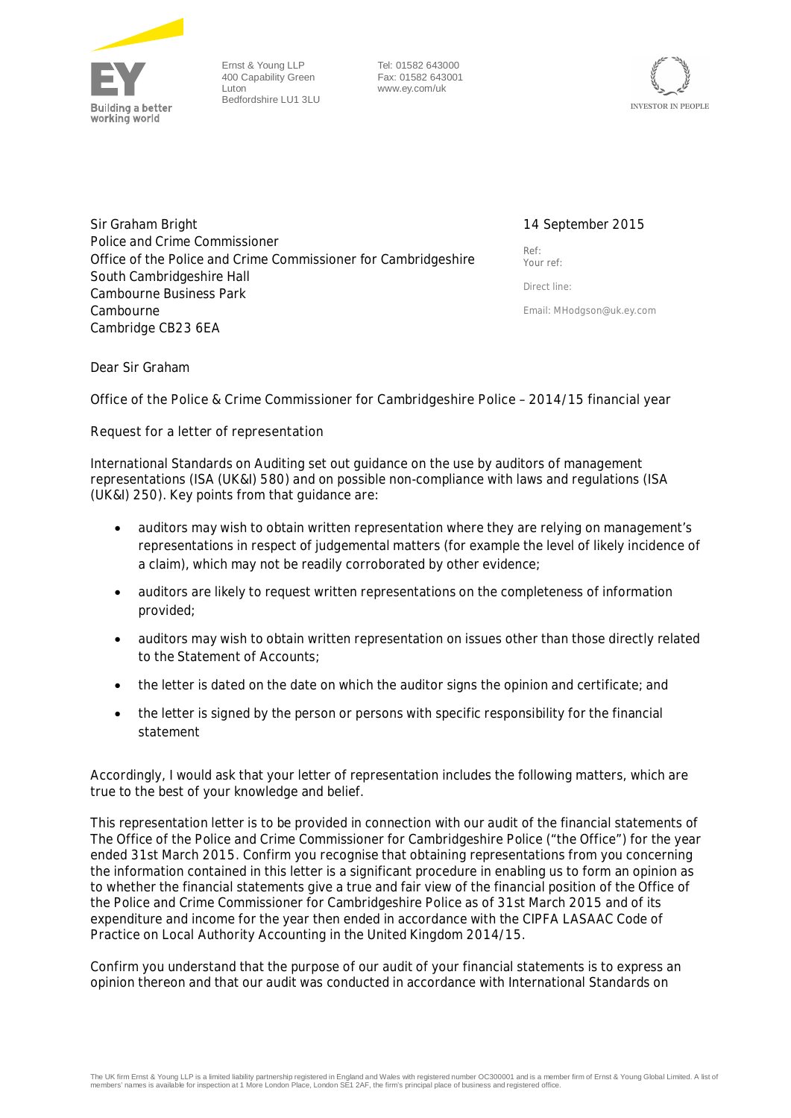

Ernst & Young LLP 400 Capability Green Luton Bedfordshire LU1 3LU

Tel: 01582 643000 Fax: 01582 643001 www.ey.com/uk



Sir Graham Bright Police and Crime Commissioner Office of the Police and Crime Commissioner for Cambridgeshire South Cambridgeshire Hall Cambourne Business Park **Cambourne** Cambridge CB23 6EA

## 14 September 2015

Ref: Your ref:

Direct line:

Email: **MHodgson@uk.ey.com**

Dear Sir Graham

**Office of the Police & Crime Commissioner for Cambridgeshire Police – 2014/15 financial year**

**Request for a letter of representation**

International Standards on Auditing set out guidance on the use by auditors of management representations (ISA (UK&I) 580) and on possible non-compliance with laws and regulations (ISA (UK&I) 250). Key points from that guidance are:

- · auditors may wish to obtain written representation where they are relying on management's representations in respect of judgemental matters (for example the level of likely incidence of a claim), which may not be readily corroborated by other evidence;
- · auditors are likely to request written representations on the completeness of information provided;
- auditors may wish to obtain written representation on issues other than those directly related to the Statement of Accounts;
- · the letter is dated on the date on which the auditor signs the opinion and certificate; and
- the letter is signed by the person or persons with specific responsibility for the financial statement

Accordingly, I would ask that your letter of representation includes the following matters, which are true to the best of your knowledge and belief.

This representation letter is to be provided in connection with our audit of the financial statements of The Office of the Police and Crime Commissioner for Cambridgeshire Police ("the Office") for the year ended 31st March 2015. Confirm you recognise that obtaining representations from you concerning the information contained in this letter is a significant procedure in enabling us to form an opinion as to whether the financial statements give a true and fair view of the financial position of the Office of the Police and Crime Commissioner for Cambridgeshire Police as of 31st March 2015 and of its expenditure and income for the year then ended in accordance with the CIPFA LASAAC Code of Practice on Local Authority Accounting in the United Kingdom 2014/15.

Confirm you understand that the purpose of our audit of your financial statements is to express an opinion thereon and that our audit was conducted in accordance with International Standards on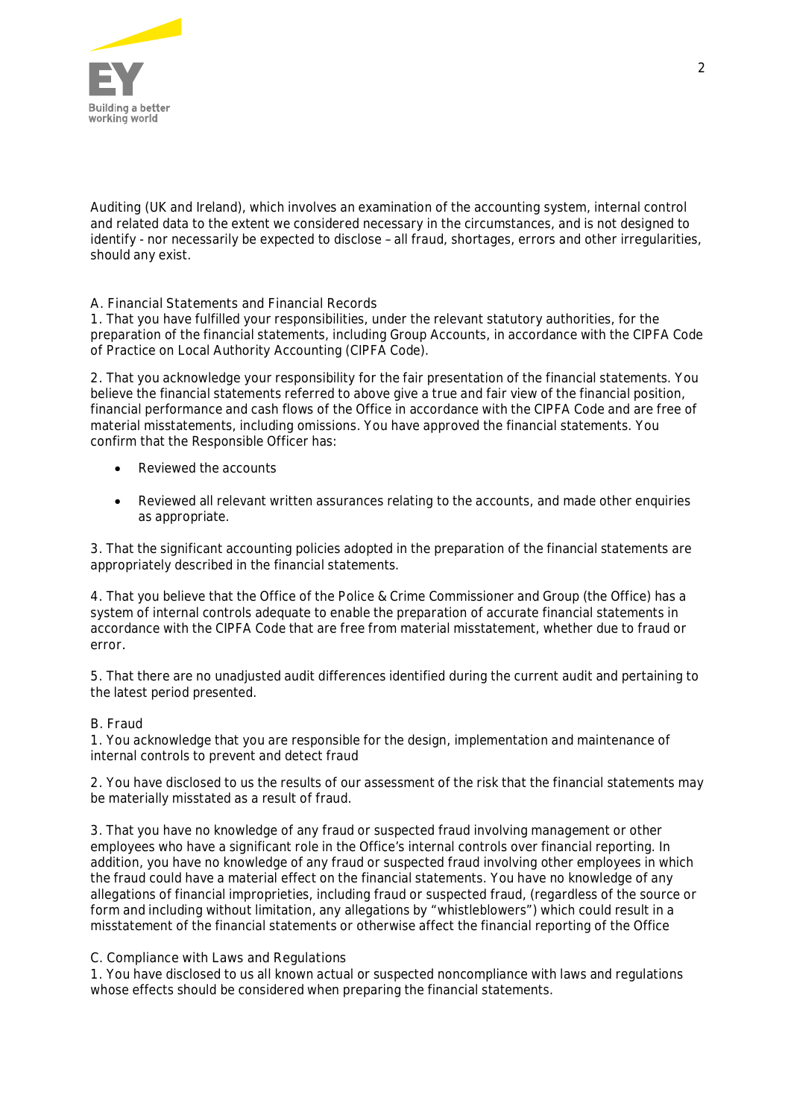

Auditing (UK and Ireland), which involves an examination of the accounting system, internal control and related data to the extent we considered necessary in the circumstances, and is not designed to identify - nor necessarily be expected to disclose – all fraud, shortages, errors and other irregularities, should any exist.

**A. Financial Statements and Financial Records**

1. That you have fulfilled your responsibilities, under the relevant statutory authorities, for the preparation of the financial statements, including Group Accounts, in accordance with the CIPFA Code of Practice on Local Authority Accounting (CIPFA Code).

2. That you acknowledge your responsibility for the fair presentation of the financial statements. You believe the financial statements referred to above give a true and fair view of the financial position, financial performance and cash flows of the Office in accordance with the CIPFA Code and are free of material misstatements, including omissions. You have approved the financial statements. You confirm that the Responsible Officer has:

- Reviewed the accounts
- Reviewed all relevant written assurances relating to the accounts, and made other enquiries as appropriate.

3. That the significant accounting policies adopted in the preparation of the financial statements are appropriately described in the financial statements.

4. That you believe that the Office of the Police & Crime Commissioner and Group (the Office) has a system of internal controls adequate to enable the preparation of accurate financial statements in accordance with the CIPFA Code that are free from material misstatement, whether due to fraud or error*.*

5. That there are no unadjusted audit differences identified during the current audit and pertaining to the latest period presented.

### **B. Fraud**

1. You acknowledge that you are responsible for the design, implementation and maintenance of internal controls to prevent and detect fraud

2. You have disclosed to us the results of our assessment of the risk that the financial statements may be materially misstated as a result of fraud.

3. That you have no knowledge of any fraud or suspected fraud involving management or other employees who have a significant role in the Office's internal controls over financial reporting. In addition, you have no knowledge of any fraud or suspected fraud involving other employees in which the fraud could have a material effect on the financial statements. You have no knowledge of any allegations of financial improprieties, including fraud or suspected fraud, (regardless of the source or form and including without limitation, any allegations by "whistleblowers") which could result in a misstatement of the financial statements or otherwise affect the financial reporting of the Office

### **C. Compliance with Laws and Regulations**

1. You have disclosed to us all known actual or suspected noncompliance with laws and regulations whose effects should be considered when preparing the financial statements.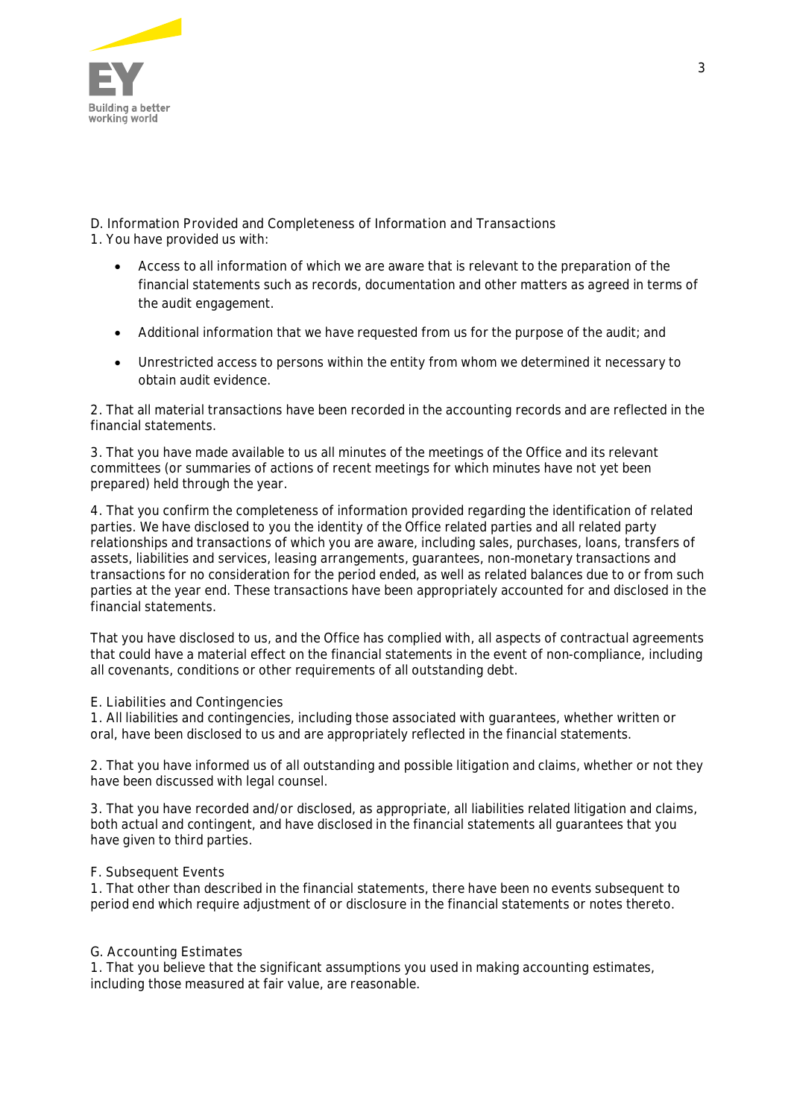

**D. Information Provided and Completeness of Information and Transactions** 1. You have provided us with:

- Access to all information of which we are aware that is relevant to the preparation of the financial statements such as records, documentation and other matters as agreed in terms of the audit engagement.
- Additional information that we have requested from us for the purpose of the audit; and
- · Unrestricted access to persons within the entity from whom we determined it necessary to obtain audit evidence.

2. That all material transactions have been recorded in the accounting records and are reflected in the financial statements.

3. That you have made available to us all minutes of the meetings of the Office and its relevant committees (or summaries of actions of recent meetings for which minutes have not yet been prepared) held through the year.

4. That you confirm the completeness of information provided regarding the identification of related parties. We have disclosed to you the identity of the Office related parties and all related party relationships and transactions of which you are aware, including sales, purchases, loans, transfers of assets, liabilities and services, leasing arrangements, guarantees, non-monetary transactions and transactions for no consideration for the period ended, as well as related balances due to or from such parties at the year end. These transactions have been appropriately accounted for and disclosed in the financial statements.

That you have disclosed to us, and the Office has complied with, all aspects of contractual agreements that could have a material effect on the financial statements in the event of non-compliance, including all covenants, conditions or other requirements of all outstanding debt.

**E. Liabilities and Contingencies**

1. All liabilities and contingencies, including those associated with guarantees, whether written or oral, have been disclosed to us and are appropriately reflected in the financial statements.

2. That you have informed us of all outstanding and pos**si**ble litigation and claims, whether or not they have been discussed with legal counsel.

3. That you have recorded and/or disclosed, as appropriate, all liabilities related litigation and claims, both actual and contingent, and have disclosed in the financial statements all guarantees that you have given to third parties.

### **F. Subsequent Events**

1. That other than described in the financial statements, there have been no events subsequent to period end which require adjustment of or disclosure in the financial statements or notes thereto.

### **G. Accounting Estimates**

1. That you believe that the significant assumptions you used in making accounting estimates, including those measured at fair value, are reasonable.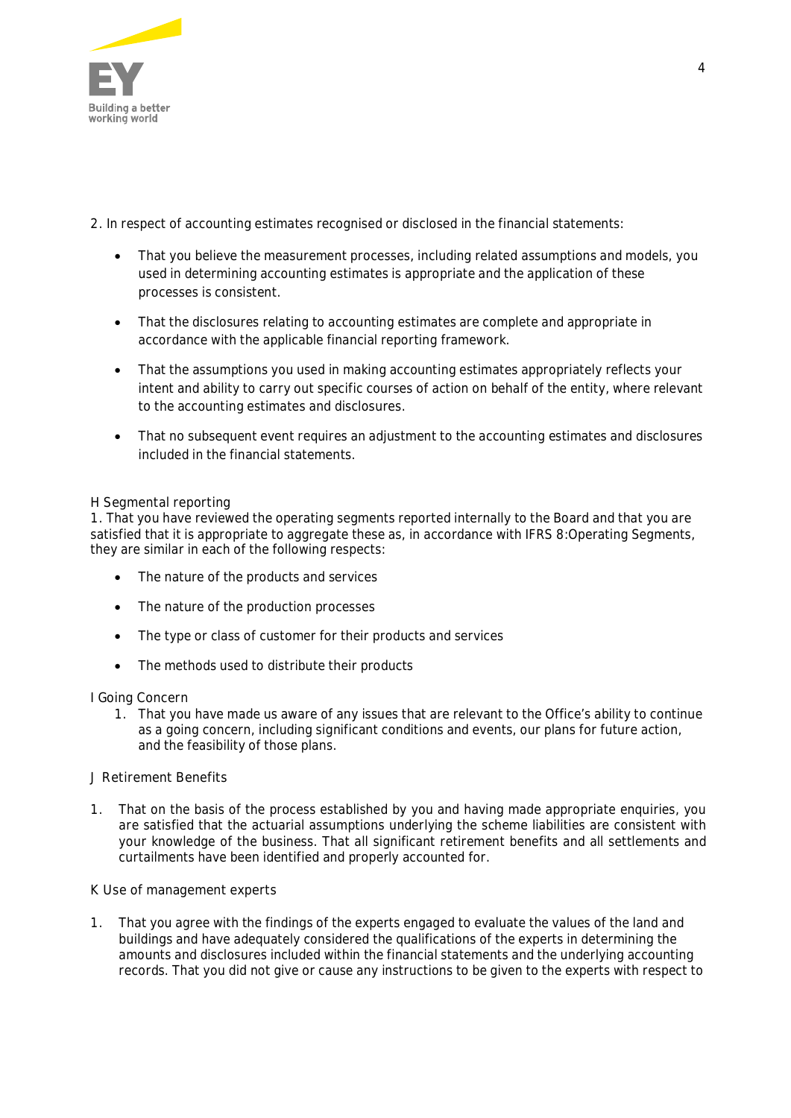

2. In respect of accounting estimates recognised or disclosed in the financial statements:

- That you believe the measurement processes, including related assumptions and models, you used in determining accounting estimates is appropriate and the application of these processes is consistent.
- · That the disclosures relating to accounting estimates are complete and appropriate in accordance with the applicable financial reporting framework.
- That the assumptions you used in making accounting estimates appropriately reflects your intent and ability to carry out specific courses of action on behalf of the entity, where relevant to the accounting estimates and disclosures.
- That no subsequent event requires an adjustment to the accounting estimates and disclosures included in the financial statements.

# **H Segmental reporting**

1. That you have reviewed the operating segments reported internally to the Board and that you are satisfied that it is appropriate to aggregate these as, in accordance with IFRS 8:Operating Segments, they are similar in each of the following respects:

- The nature of the products and services
- The nature of the production processes
- · The type or class of customer for their products and services
- · The methods used to distribute their products

**I Going Concern**

1. That you have made us aware of any issues that are relevant to the Office's ability to continue as a going concern, including significant conditions and events, our plans for future action, and the feasibility of those plans.

### **J Retirement Benefits**

1. That on the basis of the process established by you and having made appropriate enquiries, you are satisfied that the actuarial assumptions underlying the scheme liabilities are consistent with your knowledge of the business. That all significant retirement benefits and all settlements and curtailments have been identified and properly accounted for.

### **K Use of management experts**

1. That you agree with the findings of the experts engaged to evaluate the values of the land and buildings and have adequately considered the qualifications of the experts in determining the amounts and disclosures included within the financial statements and the underlying accounting records. That you did not give or cause any instructions to be given to the experts with respect to